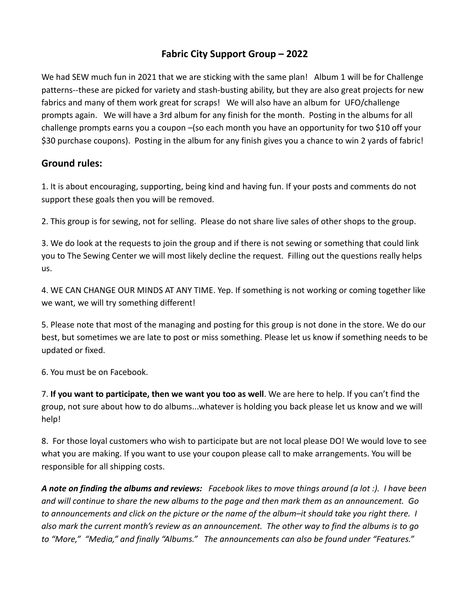## **Fabric City Support Group – 2022**

We had SEW much fun in 2021 that we are sticking with the same plan! Album 1 will be for Challenge patterns--these are picked for variety and stash-busting ability, but they are also great projects for new fabrics and many of them work great for scraps! We will also have an album for UFO/challenge prompts again. We will have a 3rd album for any finish for the month. Posting in the albums for all challenge prompts earns you a coupon –(so each month you have an opportunity for two \$10 off your \$30 purchase coupons). Posting in the album for any finish gives you a chance to win 2 yards of fabric!

## **Ground rules:**

1. It is about encouraging, supporting, being kind and having fun. If your posts and comments do not support these goals then you will be removed.

2. This group is for sewing, not for selling. Please do not share live sales of other shops to the group.

3. We do look at the requests to join the group and if there is not sewing or something that could link you to The Sewing Center we will most likely decline the request. Filling out the questions really helps us.

4. WE CAN CHANGE OUR MINDS AT ANY TIME. Yep. If something is not working or coming together like we want, we will try something different!

5. Please note that most of the managing and posting for this group is not done in the store. We do our best, but sometimes we are late to post or miss something. Please let us know if something needs to be updated or fixed.

6. You must be on Facebook.

7. **If you want to participate, then we want you too as well**. We are here to help. If you can't find the group, not sure about how to do albums...whatever is holding you back please let us know and we will help!

8. For those loyal customers who wish to participate but are not local please DO! We would love to see what you are making. If you want to use your coupon please call to make arrangements. You will be responsible for all shipping costs.

*A note on finding the albums and reviews: Facebook likes to move things around (a lot :). I have been and will continue to share the new albums to the page and then mark them as an announcement. Go to announcements and click on the picture or the name of the album–it should take you right there. I also mark the current month's review as an announcement. The other way to find the albums is to go to "More," "Media," and finally "Albums." The announcements can also be found under "Features."*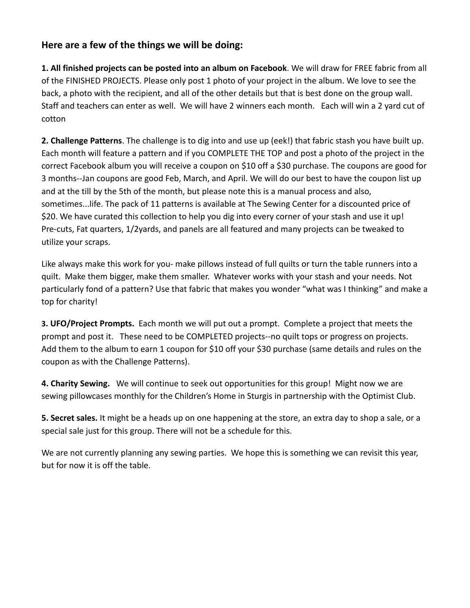## **Here are a few of the things we will be doing:**

**1. All finished projects can be posted into an album on Facebook**. We will draw for FREE fabric from all of the FINISHED PROJECTS. Please only post 1 photo of your project in the album. We love to see the back, a photo with the recipient, and all of the other details but that is best done on the group wall. Staff and teachers can enter as well. We will have 2 winners each month. Each will win a 2 yard cut of cotton

**2. Challenge Patterns**. The challenge is to dig into and use up (eek!) that fabric stash you have built up. Each month will feature a pattern and if you COMPLETE THE TOP and post a photo of the project in the correct Facebook album you will receive a coupon on \$10 off a \$30 purchase. The coupons are good for 3 months--Jan coupons are good Feb, March, and April. We will do our best to have the coupon list up and at the till by the 5th of the month, but please note this is a manual process and also, sometimes...life. The pack of 11 patterns is available at The Sewing Center for a discounted price of \$20. We have curated this collection to help you dig into every corner of your stash and use it up! Pre-cuts, Fat quarters, 1/2yards, and panels are all featured and many projects can be tweaked to utilize your scraps.

Like always make this work for you- make pillows instead of full quilts or turn the table runners into a quilt. Make them bigger, make them smaller. Whatever works with your stash and your needs. Not particularly fond of a pattern? Use that fabric that makes you wonder "what was I thinking" and make a top for charity!

**3. UFO/Project Prompts.** Each month we will put out a prompt. Complete a project that meets the prompt and post it. These need to be COMPLETED projects--no quilt tops or progress on projects. Add them to the album to earn 1 coupon for \$10 off your \$30 purchase (same details and rules on the coupon as with the Challenge Patterns).

**4. Charity Sewing.** We will continue to seek out opportunities for this group! Might now we are sewing pillowcases monthly for the Children's Home in Sturgis in partnership with the Optimist Club.

**5. Secret sales.** It might be a heads up on one happening at the store, an extra day to shop a sale, or a special sale just for this group. There will not be a schedule for this.

We are not currently planning any sewing parties. We hope this is something we can revisit this year, but for now it is off the table.